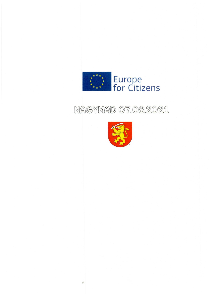

## NAGYMAD 07.08.2021

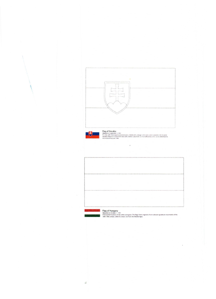

 $\rlap{-}$ 

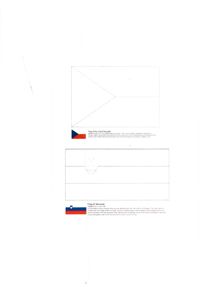





**Flag of Slovenia**<br>Adopted on 25 ione 1991<br>Aborigation 25 ione 1991<br>Aborigation 25 ione 1991<br>Aborigation discussion of which counterparts of the counterparts in white against a time of statement at the<br>Assession becomes t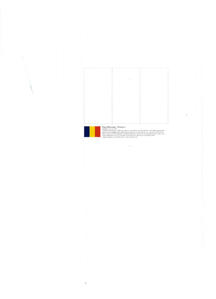



Flag of Romania - Tricolorul<br>Adopteluri 26 June (648)<br>Adopteluri 26 June (648)<br>Adopteluri 26 June (648)<br>Adopteluri 26 June (648)<br>Adopted in 26 June 1048 (649)<br>Adopted in the film of the server and the company flat (448)<br>an

ý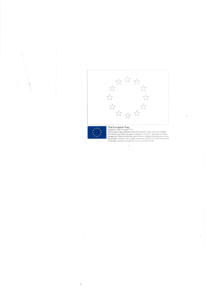

G



The European flag<br>Adopted on 8th December 1955<br>The European flag symbolises both the European tinion and, more broadly<br>the identity and unity of Europe. It (features a circle of 1.2 gold stars on a blue<br>background They st